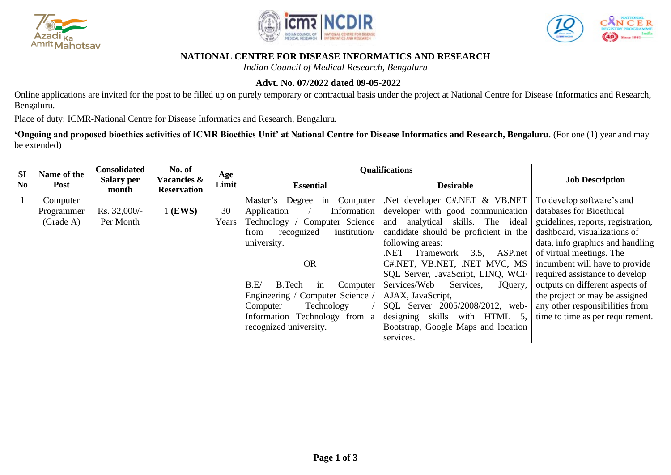





### **NATIONAL CENTRE FOR DISEASE INFORMATICS AND RESEARCH**

*Indian Council of Medical Research, Bengaluru*

# **Advt. No. 07/2022 dated 09-05-2022**

Online applications are invited for the post to be filled up on purely temporary or contractual basis under the project at National Centre for Disease Informatics and Research, Bengaluru.

Place of duty: ICMR-National Centre for Disease Informatics and Research, Bengaluru.

**'Ongoing and proposed bioethics activities of ICMR Bioethics Unit' at National Centre for Disease Informatics and Research, Bengaluru**. (For one (1) year and may be extended)

| <b>SI</b>      | Name of the | <b>Consolidated</b>        | No. of                            | Age   | <b>Qualifications</b>              |                                       |                                    |  |
|----------------|-------------|----------------------------|-----------------------------------|-------|------------------------------------|---------------------------------------|------------------------------------|--|
| N <sub>0</sub> | Post        | <b>Salary per</b><br>month | Vacancies &<br><b>Reservation</b> | Limit | <b>Essential</b>                   | <b>Desirable</b>                      | <b>Job Description</b>             |  |
|                | Computer    |                            |                                   |       | Computer<br>Master's Degree in     | .Net developer C#.NET & VB.NET        | To develop software's and          |  |
|                | Programmer  | Rs. 32,000/-               | $1$ (EWS)                         | 30    | Information<br>Application         | developer with good communication     | databases for Bioethical           |  |
|                | (Grade A)   | Per Month                  |                                   | Years | Computer Science<br>Technology /   | and analytical skills. The ideal      | guidelines, reports, registration, |  |
|                |             |                            |                                   |       | institution/<br>recognized<br>from | candidate should be proficient in the | dashboard, visualizations of       |  |
|                |             |                            |                                   |       | university.                        | following areas:                      | data, info graphics and handling   |  |
|                |             |                            |                                   |       |                                    | $3.5$ , ASP.net<br>NET.<br>Framework  | of virtual meetings. The           |  |
|                |             |                            |                                   |       | <b>OR</b>                          | C#.NET, VB.NET, .NET MVC, MS          | incumbent will have to provide     |  |
|                |             |                            |                                   |       |                                    | SQL Server, JavaScript, LINQ, WCF     | required assistance to develop     |  |
|                |             |                            |                                   |       | B.E/<br>B.Tech<br>Computer<br>in   | Services/Web<br>Services,<br>JQuery,  | outputs on different aspects of    |  |
|                |             |                            |                                   |       | Engineering / Computer Science /   | AJAX, JavaScript,                     | the project or may be assigned     |  |
|                |             |                            |                                   |       | Technology<br>Computer             | SQL Server 2005/2008/2012, web-       | any other responsibilities from    |  |
|                |             |                            |                                   |       | Information Technology from a      | skills with HTML 5,<br>designing      | time to time as per requirement.   |  |
|                |             |                            |                                   |       | recognized university.             | Bootstrap, Google Maps and location   |                                    |  |
|                |             |                            |                                   |       |                                    | services.                             |                                    |  |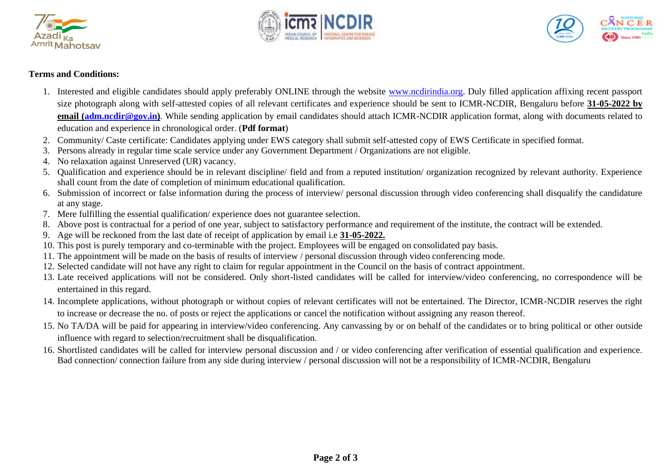





#### **Terms and Conditions:**

- 1. Interested and eligible candidates should apply preferably ONLINE through the website [www.ncdirindia.org.](http://www.ncdirindia.org/) Duly filled application affixing recent passport size photograph along with self-attested copies of all relevant certificates and experience should be sent to ICMR-NCDIR, Bengaluru before **31-05-2022 by email [\(adm.ncdir@gov.in\)](mailto:adm.ncdir@gov.in)**. While sending application by email candidates should attach ICMR-NCDIR application format, along with documents related to education and experience in chronological order. (**Pdf format**)
- 2. Community/ Caste certificate: Candidates applying under EWS category shall submit self-attested copy of EWS Certificate in specified format.
- 3. Persons already in regular time scale service under any Government Department / Organizations are not eligible.
- 4. No relaxation against Unreserved (UR) vacancy.
- 5. Qualification and experience should be in relevant discipline/ field and from a reputed institution/ organization recognized by relevant authority. Experience shall count from the date of completion of minimum educational qualification.
- 6. Submission of incorrect or false information during the process of interview/ personal discussion through video conferencing shall disqualify the candidature at any stage.
- 7. Mere fulfilling the essential qualification/ experience does not guarantee selection.
- 8. Above post is contractual for a period of one year, subject to satisfactory performance and requirement of the institute, the contract will be extended.
- 9. Age will be reckoned from the last date of receipt of application by email i.e **31-05-2022.**
- 10. This post is purely temporary and co-terminable with the project. Employees will be engaged on consolidated pay basis.
- 11. The appointment will be made on the basis of results of interview / personal discussion through video conferencing mode.
- 12. Selected candidate will not have any right to claim for regular appointment in the Council on the basis of contract appointment.
- 13. Late received applications will not be considered. Only short-listed candidates will be called for interview/video conferencing, no correspondence will be entertained in this regard.
- 14. Incomplete applications, without photograph or without copies of relevant certificates will not be entertained. The Director, ICMR-NCDIR reserves the right to increase or decrease the no. of posts or reject the applications or cancel the notification without assigning any reason thereof.
- 15. No TA/DA will be paid for appearing in interview/video conferencing. Any canvassing by or on behalf of the candidates or to bring political or other outside influence with regard to selection/recruitment shall be disqualification.
- 16. Shortlisted candidates will be called for interview personal discussion and / or video conferencing after verification of essential qualification and experience. Bad connection/ connection failure from any side during interview / personal discussion will not be a responsibility of ICMR-NCDIR, Bengaluru